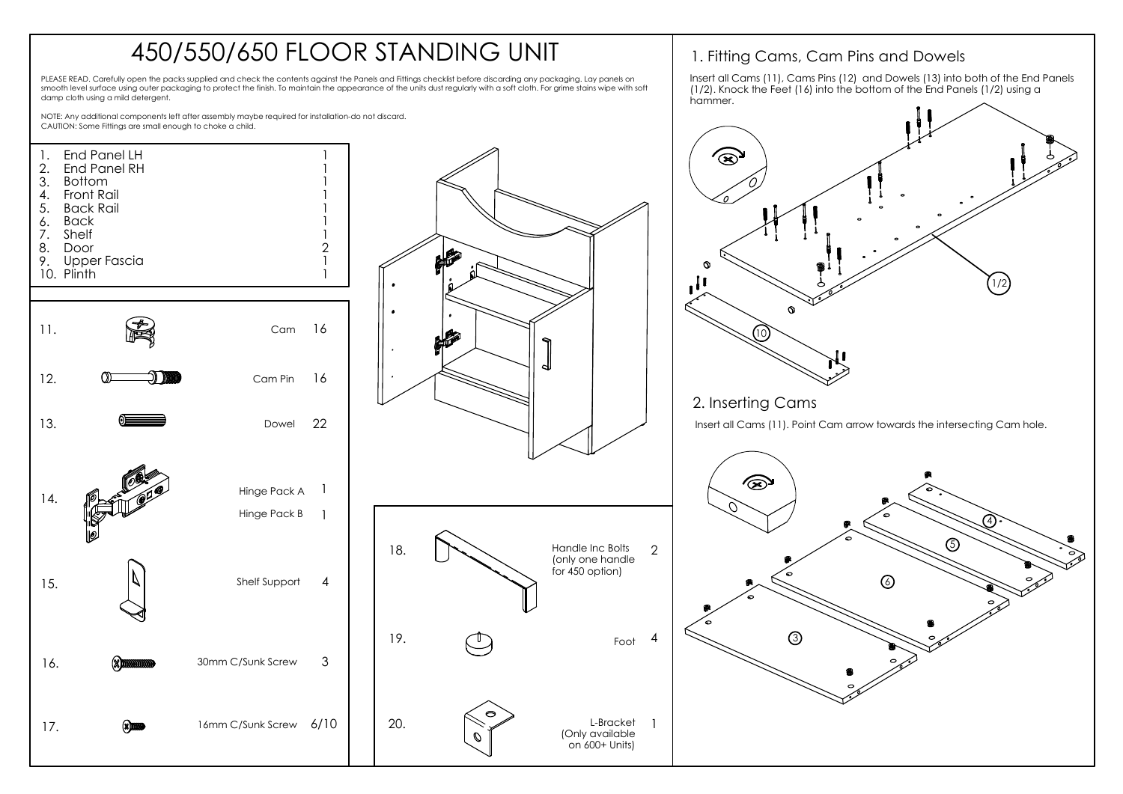## 450/550/650 FLOOR STANDING UNIT

PLEASE READ. Carefully open the packs supplied and check the contents against the Panels and Fittings checklist before discarding any packaging. Lay panels on smooth level surface using outer packaging to protect the finish. To maintain the appearance of the units dust regularly with a soft cloth. For grime stains wipe with soft damp cloth using a mild detergent.

hammer.NOTE: Any additional components left after assembly maybe required for installation-do not discard. CAUTION: Some Fittings are small enough to choke a child. 1 End Panel LH 1. ՜ଛ 2. End Panel RH 1 3. Bottom 1 Front Rail 1 4. 5. Back Rail 1 Back 1 6. 7. Shelf 1 8. Door  $\mathcal{P}$ 9. Upper Fascia 1 1 10. Plinth 1/2 11. Cam 16 10 12. Cam Pin 16 2. Inserting Cams Dowel 22 Insert all Cams (11). Point Cam arrow towards the intersecting Cam hole. 13.  $\circledast$ 1 Hinge Pack A 14. Hinge Pack B 1 4 Handle Inc Bolts 5 2 18. (only one handle for 450 option) 15. Shelf Support 4 6 19. ദ Foot 4 30mm C/Sunk Screw 3 16. 20. L-Bracket 17. **8000** 16mm C/Sunk Screw 6/10 1 (Only available on 600+ Units)

1. Fitting Cams, Cam Pins and Dowels

Insert all Cams (11), Cams Pins (12) and Dowels (13) into both of the End Panels (1/2). Knock the Feet (16) into the bottom of the End Panels (1/2) using a